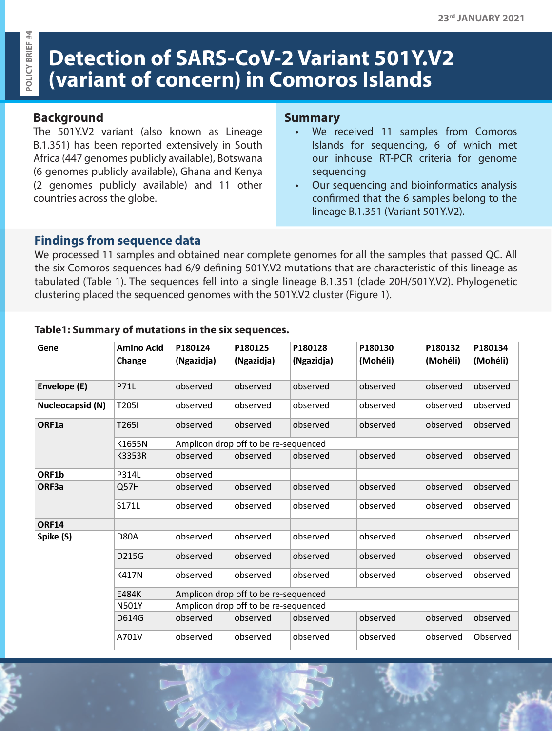# **Detection of SARS-CoV-2 Variant 501Y.V2 (variant of concern) in Comoros Islands**

## **Background**

OLICY BRIEF #4 **POLICY BRIEF #4**

> The 501Y.V2 variant (also known as Lineage B.1.351) has been reported extensively in South Africa (447 genomes publicly available), Botswana (6 genomes publicly available), Ghana and Kenya (2 genomes publicly available) and 11 other countries across the globe.

#### **Summary**

- We received 11 samples from Comoros Islands for sequencing, 6 of which met our inhouse RT-PCR criteria for genome sequencing
- Our sequencing and bioinformatics analysis confirmed that the 6 samples belong to the lineage B.1.351 (Variant 501Y.V2).

## **Findings from sequence data**

We processed 11 samples and obtained near complete genomes for all the samples that passed QC. All the six Comoros sequences had 6/9 defining 501Y.V2 mutations that are characteristic of this lineage as tabulated (Table 1). The sequences fell into a single lineage B.1.351 (clade 20H/501Y.V2). Phylogenetic clustering placed the sequenced genomes with the 501Y.V2 cluster (Figure 1).

| Gene             | <b>Amino Acid</b><br>Change | P180124<br>(Ngazidja)                | P180125<br>(Ngazidja) | P180128<br>(Ngazidja) | P180130<br>(Mohéli) | P180132<br>(Mohéli) | P180134<br>(Mohéli) |
|------------------|-----------------------------|--------------------------------------|-----------------------|-----------------------|---------------------|---------------------|---------------------|
| Envelope (E)     | <b>P71L</b>                 | observed                             | observed              | observed              | observed            | observed            | observed            |
| Nucleocapsid (N) | T2051                       | observed                             | observed              | observed              | observed            | observed            | observed            |
| ORF1a            | T265I                       | observed                             | observed              | observed              | observed            | observed            | observed            |
|                  | K1655N                      | Amplicon drop off to be re-sequenced |                       |                       |                     |                     |                     |
|                  | K3353R                      | observed                             | observed              | observed              | observed            | observed            | observed            |
| ORF1b            | P314L                       | observed                             |                       |                       |                     |                     |                     |
| ORF3a            | Q57H                        | observed                             | observed              | observed              | observed            | observed            | observed            |
|                  | S171L                       | observed                             | observed              | observed              | observed            | observed            | observed            |
| <b>ORF14</b>     |                             |                                      |                       |                       |                     |                     |                     |
| Spike (S)        | <b>D80A</b>                 | observed                             | observed              | observed              | observed            | observed            | observed            |
|                  | D215G                       | observed                             | observed              | observed              | observed            | observed            | observed            |
|                  | K417N                       | observed                             | observed              | observed              | observed            | observed            | observed            |
|                  | E484K                       | Amplicon drop off to be re-sequenced |                       |                       |                     |                     |                     |
|                  | <b>N501Y</b>                | Amplicon drop off to be re-sequenced |                       |                       |                     |                     |                     |
|                  | D614G                       | observed                             | observed              | observed              | observed            | observed            | observed            |
|                  | A701V                       | observed                             | observed              | observed              | observed            | observed            | Observed            |

#### **Table1: Summary of mutations in the six sequences.**